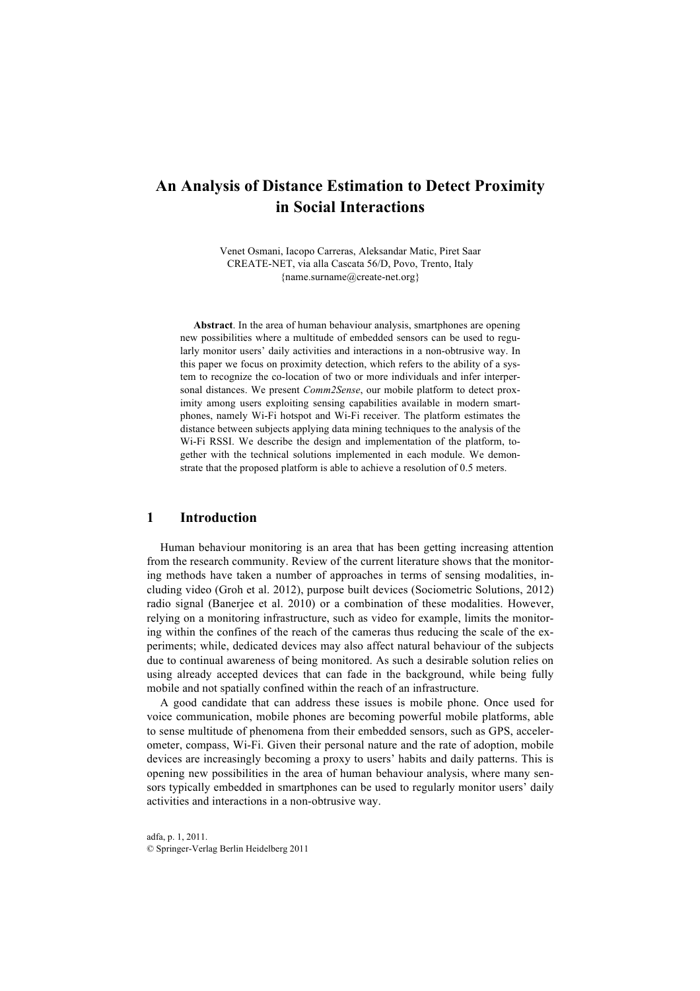# **An Analysis of Distance Estimation to Detect Proximity in Social Interactions**

Venet Osmani, Iacopo Carreras, Aleksandar Matic, Piret Saar CREATE-NET, via alla Cascata 56/D, Povo, Trento, Italy {name.surname@create-net.org}

**Abstract**. In the area of human behaviour analysis, smartphones are opening new possibilities where a multitude of embedded sensors can be used to regularly monitor users' daily activities and interactions in a non-obtrusive way. In this paper we focus on proximity detection, which refers to the ability of a system to recognize the co-location of two or more individuals and infer interpersonal distances. We present *Comm2Sense*, our mobile platform to detect proximity among users exploiting sensing capabilities available in modern smartphones, namely Wi-Fi hotspot and Wi-Fi receiver. The platform estimates the distance between subjects applying data mining techniques to the analysis of the Wi-Fi RSSI. We describe the design and implementation of the platform, together with the technical solutions implemented in each module. We demonstrate that the proposed platform is able to achieve a resolution of 0.5 meters.

### **1 Introduction**

Human behaviour monitoring is an area that has been getting increasing attention from the research community. Review of the current literature shows that the monitoring methods have taken a number of approaches in terms of sensing modalities, including video (Groh et al. 2012), purpose built devices (Sociometric Solutions, 2012) radio signal (Banerjee et al. 2010) or a combination of these modalities. However, relying on a monitoring infrastructure, such as video for example, limits the monitoring within the confines of the reach of the cameras thus reducing the scale of the experiments; while, dedicated devices may also affect natural behaviour of the subjects due to continual awareness of being monitored. As such a desirable solution relies on using already accepted devices that can fade in the background, while being fully mobile and not spatially confined within the reach of an infrastructure.

A good candidate that can address these issues is mobile phone. Once used for voice communication, mobile phones are becoming powerful mobile platforms, able to sense multitude of phenomena from their embedded sensors, such as GPS, accelerometer, compass, Wi-Fi. Given their personal nature and the rate of adoption, mobile devices are increasingly becoming a proxy to users' habits and daily patterns. This is opening new possibilities in the area of human behaviour analysis, where many sensors typically embedded in smartphones can be used to regularly monitor users' daily activities and interactions in a non-obtrusive way.

adfa, p. 1, 2011. © Springer-Verlag Berlin Heidelberg 2011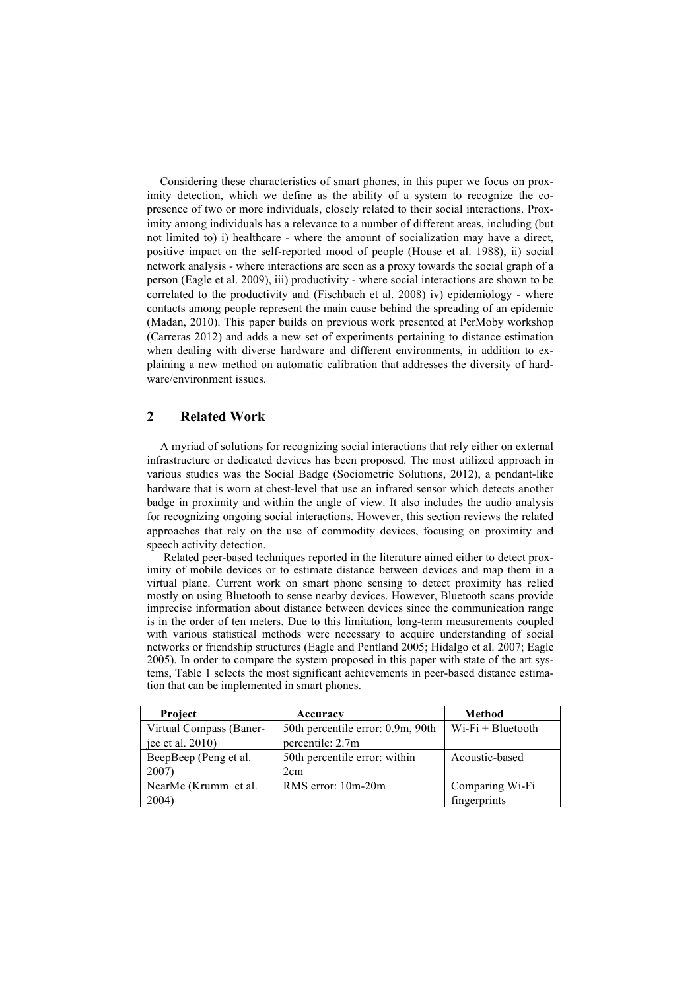Considering these characteristics of smart phones, in this paper we focus on proximity detection, which we define as the ability of a system to recognize the copresence of two or more individuals, closely related to their social interactions. Proximity among individuals has a relevance to a number of different areas, including (but not limited to) i) healthcare - where the amount of socialization may have a direct, positive impact on the self-reported mood of people (House et al. 1988), ii) social network analysis - where interactions are seen as a proxy towards the social graph of a person (Eagle et al. 2009), iii) productivity - where social interactions are shown to be correlated to the productivity and (Fischbach et al. 2008) iv) epidemiology - where contacts among people represent the main cause behind the spreading of an epidemic (Madan, 2010). This paper builds on previous work presented at PerMoby workshop (Carreras 2012) and adds a new set of experiments pertaining to distance estimation when dealing with diverse hardware and different environments, in addition to explaining a new method on automatic calibration that addresses the diversity of hardware/environment issues.

# **2 Related Work**

A myriad of solutions for recognizing social interactions that rely either on external infrastructure or dedicated devices has been proposed. The most utilized approach in various studies was the Social Badge (Sociometric Solutions, 2012), a pendant-like hardware that is worn at chest-level that use an infrared sensor which detects another badge in proximity and within the angle of view. It also includes the audio analysis for recognizing ongoing social interactions. However, this section reviews the related approaches that rely on the use of commodity devices, focusing on proximity and speech activity detection.

Related peer-based techniques reported in the literature aimed either to detect proximity of mobile devices or to estimate distance between devices and map them in a virtual plane. Current work on smart phone sensing to detect proximity has relied mostly on using Bluetooth to sense nearby devices. However, Bluetooth scans provide imprecise information about distance between devices since the communication range is in the order of ten meters. Due to this limitation, long-term measurements coupled with various statistical methods were necessary to acquire understanding of social networks or friendship structures (Eagle and Pentland 2005; Hidalgo et al. 2007; Eagle 2005). In order to compare the system proposed in this paper with state of the art systems, Table 1 selects the most significant achievements in peer-based distance estimation that can be implemented in smart phones.

| <b>Project</b>          | Accuracy                          | Method               |
|-------------------------|-----------------------------------|----------------------|
| Virtual Compass (Baner- | 50th percentile error: 0.9m, 90th | $Wi$ -Fi + Bluetooth |
| jee et al. $2010$ )     | percentile: 2.7m                  |                      |
| BeepBeep (Peng et al.   | 50th percentile error: within     | Acoustic-based       |
| 2007)                   | 2 <sub>cm</sub>                   |                      |
| NearMe (Krumm et al.    | RMS error: 10m-20m                | Comparing Wi-Fi      |
| 2004)                   |                                   | fingerprints         |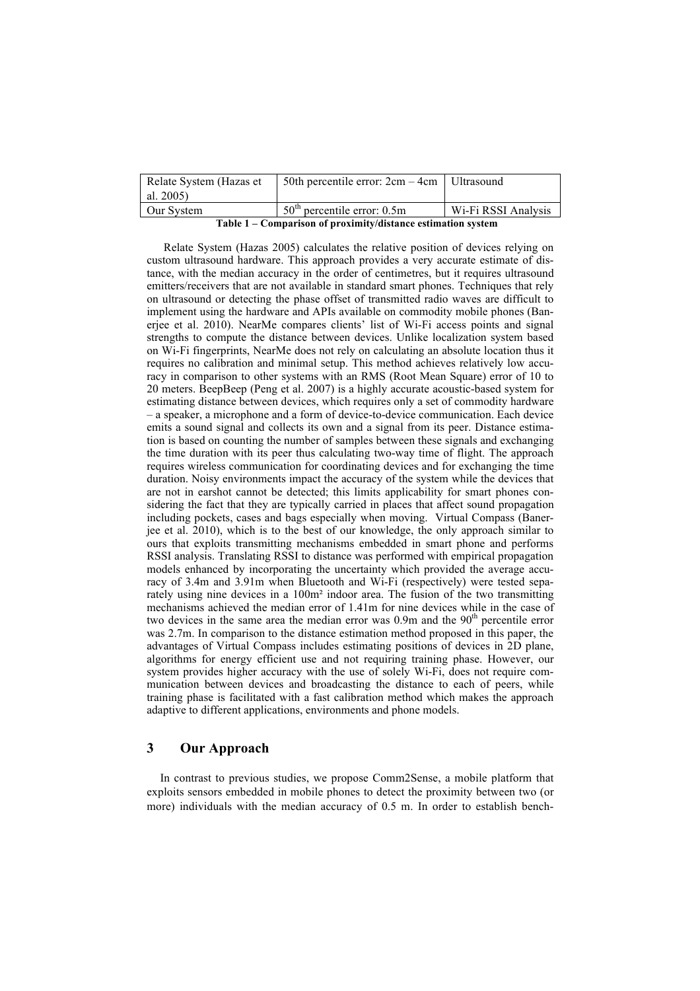| Relate System (Hazas et                                      | 50th percentile error: $2cm - 4cm$   Ultrasound |                     |  |
|--------------------------------------------------------------|-------------------------------------------------|---------------------|--|
| al. 2005)                                                    |                                                 |                     |  |
| Our System                                                   | $50th$ percentile error: 0.5m                   | Wi-Fi RSSI Analysis |  |
| Table 1 – Comparison of proximity/distance estimation system |                                                 |                     |  |

Relate System (Hazas 2005) calculates the relative position of devices relying on custom ultrasound hardware. This approach provides a very accurate estimate of distance, with the median accuracy in the order of centimetres, but it requires ultrasound emitters/receivers that are not available in standard smart phones. Techniques that rely on ultrasound or detecting the phase offset of transmitted radio waves are difficult to implement using the hardware and APIs available on commodity mobile phones (Banerjee et al. 2010). NearMe compares clients' list of Wi-Fi access points and signal strengths to compute the distance between devices. Unlike localization system based on Wi-Fi fingerprints, NearMe does not rely on calculating an absolute location thus it requires no calibration and minimal setup. This method achieves relatively low accuracy in comparison to other systems with an RMS (Root Mean Square) error of 10 to 20 meters. BeepBeep (Peng et al. 2007) is a highly accurate acoustic-based system for estimating distance between devices, which requires only a set of commodity hardware – a speaker, a microphone and a form of device-to-device communication. Each device emits a sound signal and collects its own and a signal from its peer. Distance estimation is based on counting the number of samples between these signals and exchanging the time duration with its peer thus calculating two-way time of flight. The approach requires wireless communication for coordinating devices and for exchanging the time duration. Noisy environments impact the accuracy of the system while the devices that are not in earshot cannot be detected; this limits applicability for smart phones considering the fact that they are typically carried in places that affect sound propagation including pockets, cases and bags especially when moving. Virtual Compass (Banerjee et al. 2010), which is to the best of our knowledge, the only approach similar to ours that exploits transmitting mechanisms embedded in smart phone and performs RSSI analysis. Translating RSSI to distance was performed with empirical propagation models enhanced by incorporating the uncertainty which provided the average accuracy of 3.4m and 3.91m when Bluetooth and Wi-Fi (respectively) were tested separately using nine devices in a 100m² indoor area. The fusion of the two transmitting mechanisms achieved the median error of 1.41m for nine devices while in the case of two devices in the same area the median error was  $0.9m$  and the  $90<sup>th</sup>$  percentile error was 2.7m. In comparison to the distance estimation method proposed in this paper, the advantages of Virtual Compass includes estimating positions of devices in 2D plane, algorithms for energy efficient use and not requiring training phase. However, our system provides higher accuracy with the use of solely Wi-Fi, does not require communication between devices and broadcasting the distance to each of peers, while training phase is facilitated with a fast calibration method which makes the approach adaptive to different applications, environments and phone models.

# **3 Our Approach**

In contrast to previous studies, we propose Comm2Sense, a mobile platform that exploits sensors embedded in mobile phones to detect the proximity between two (or more) individuals with the median accuracy of 0.5 m. In order to establish bench-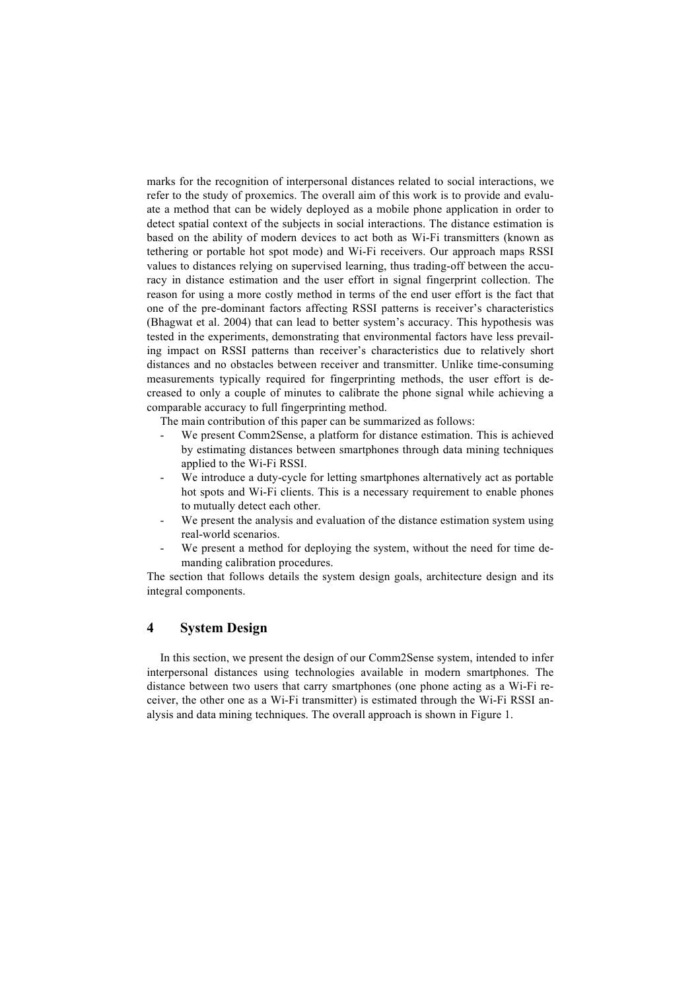marks for the recognition of interpersonal distances related to social interactions, we refer to the study of proxemics. The overall aim of this work is to provide and evaluate a method that can be widely deployed as a mobile phone application in order to detect spatial context of the subjects in social interactions. The distance estimation is based on the ability of modern devices to act both as Wi-Fi transmitters (known as tethering or portable hot spot mode) and Wi-Fi receivers. Our approach maps RSSI values to distances relying on supervised learning, thus trading-off between the accuracy in distance estimation and the user effort in signal fingerprint collection. The reason for using a more costly method in terms of the end user effort is the fact that one of the pre-dominant factors affecting RSSI patterns is receiver's characteristics (Bhagwat et al. 2004) that can lead to better system's accuracy. This hypothesis was tested in the experiments, demonstrating that environmental factors have less prevailing impact on RSSI patterns than receiver's characteristics due to relatively short distances and no obstacles between receiver and transmitter. Unlike time-consuming measurements typically required for fingerprinting methods, the user effort is decreased to only a couple of minutes to calibrate the phone signal while achieving a comparable accuracy to full fingerprinting method.

The main contribution of this paper can be summarized as follows:

- We present Comm2Sense, a platform for distance estimation. This is achieved by estimating distances between smartphones through data mining techniques applied to the Wi-Fi RSSI.
- We introduce a duty-cycle for letting smartphones alternatively act as portable hot spots and Wi-Fi clients. This is a necessary requirement to enable phones to mutually detect each other.
- We present the analysis and evaluation of the distance estimation system using real-world scenarios.
- We present a method for deploying the system, without the need for time demanding calibration procedures.

The section that follows details the system design goals, architecture design and its integral components.

# **4 System Design**

In this section, we present the design of our Comm2Sense system, intended to infer interpersonal distances using technologies available in modern smartphones. The distance between two users that carry smartphones (one phone acting as a Wi-Fi receiver, the other one as a Wi-Fi transmitter) is estimated through the Wi-Fi RSSI analysis and data mining techniques. The overall approach is shown in Figure 1.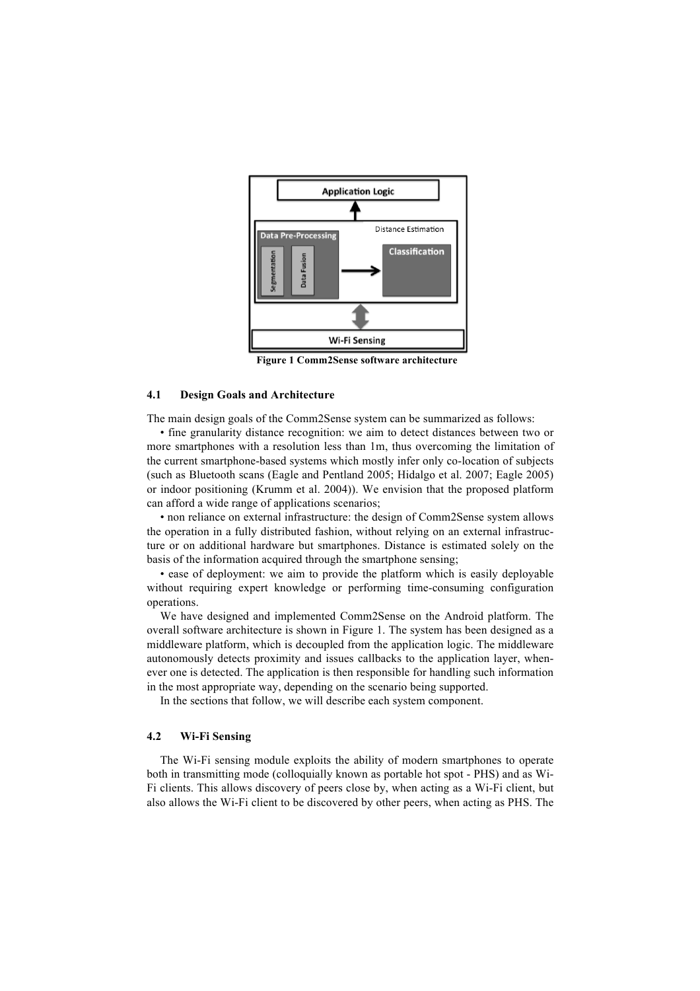

**Figure 1 Comm2Sense software architecture**

### **4.1 Design Goals and Architecture**

The main design goals of the Comm2Sense system can be summarized as follows:

• fine granularity distance recognition: we aim to detect distances between two or more smartphones with a resolution less than 1m, thus overcoming the limitation of the current smartphone-based systems which mostly infer only co-location of subjects (such as Bluetooth scans (Eagle and Pentland 2005; Hidalgo et al. 2007; Eagle 2005) or indoor positioning (Krumm et al. 2004)). We envision that the proposed platform can afford a wide range of applications scenarios;

• non reliance on external infrastructure: the design of Comm2Sense system allows the operation in a fully distributed fashion, without relying on an external infrastructure or on additional hardware but smartphones. Distance is estimated solely on the basis of the information acquired through the smartphone sensing;

• ease of deployment: we aim to provide the platform which is easily deployable without requiring expert knowledge or performing time-consuming configuration operations.

We have designed and implemented Comm2Sense on the Android platform. The overall software architecture is shown in Figure 1. The system has been designed as a middleware platform, which is decoupled from the application logic. The middleware autonomously detects proximity and issues callbacks to the application layer, whenever one is detected. The application is then responsible for handling such information in the most appropriate way, depending on the scenario being supported.

In the sections that follow, we will describe each system component.

### **4.2 Wi-Fi Sensing**

The Wi-Fi sensing module exploits the ability of modern smartphones to operate both in transmitting mode (colloquially known as portable hot spot - PHS) and as Wi-Fi clients. This allows discovery of peers close by, when acting as a Wi-Fi client, but also allows the Wi-Fi client to be discovered by other peers, when acting as PHS. The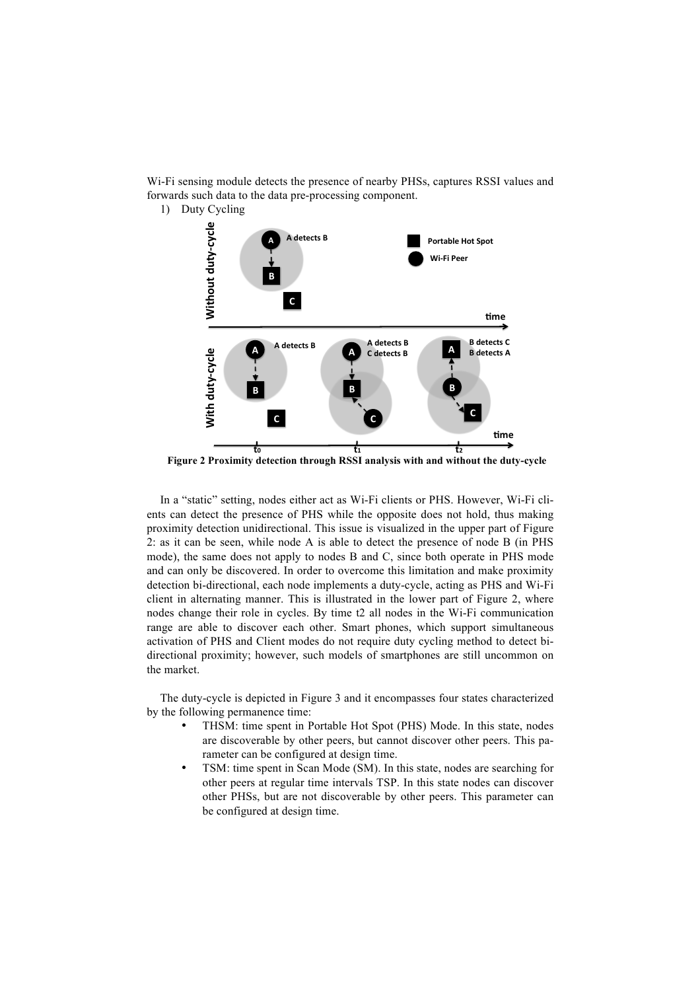Wi-Fi sensing module detects the presence of nearby PHSs, captures RSSI values and forwards such data to the data pre-processing component.

1) Duty Cycling



**Figure 2 Proximity detection through RSSI analysis with and without the duty-cycle**

In a "static" setting, nodes either act as Wi-Fi clients or PHS. However, Wi-Fi clients can detect the presence of PHS while the opposite does not hold, thus making proximity detection unidirectional. This issue is visualized in the upper part of Figure 2: as it can be seen, while node A is able to detect the presence of node B (in PHS mode), the same does not apply to nodes B and C, since both operate in PHS mode and can only be discovered. In order to overcome this limitation and make proximity detection bi-directional, each node implements a duty-cycle, acting as PHS and Wi-Fi client in alternating manner. This is illustrated in the lower part of Figure 2, where nodes change their role in cycles. By time t2 all nodes in the Wi-Fi communication range are able to discover each other. Smart phones, which support simultaneous activation of PHS and Client modes do not require duty cycling method to detect bidirectional proximity; however, such models of smartphones are still uncommon on the market.

The duty-cycle is depicted in Figure 3 and it encompasses four states characterized by the following permanence time:

- THSM: time spent in Portable Hot Spot (PHS) Mode. In this state, nodes are discoverable by other peers, but cannot discover other peers. This parameter can be configured at design time.
- TSM: time spent in Scan Mode (SM). In this state, nodes are searching for other peers at regular time intervals TSP. In this state nodes can discover other PHSs, but are not discoverable by other peers. This parameter can be configured at design time.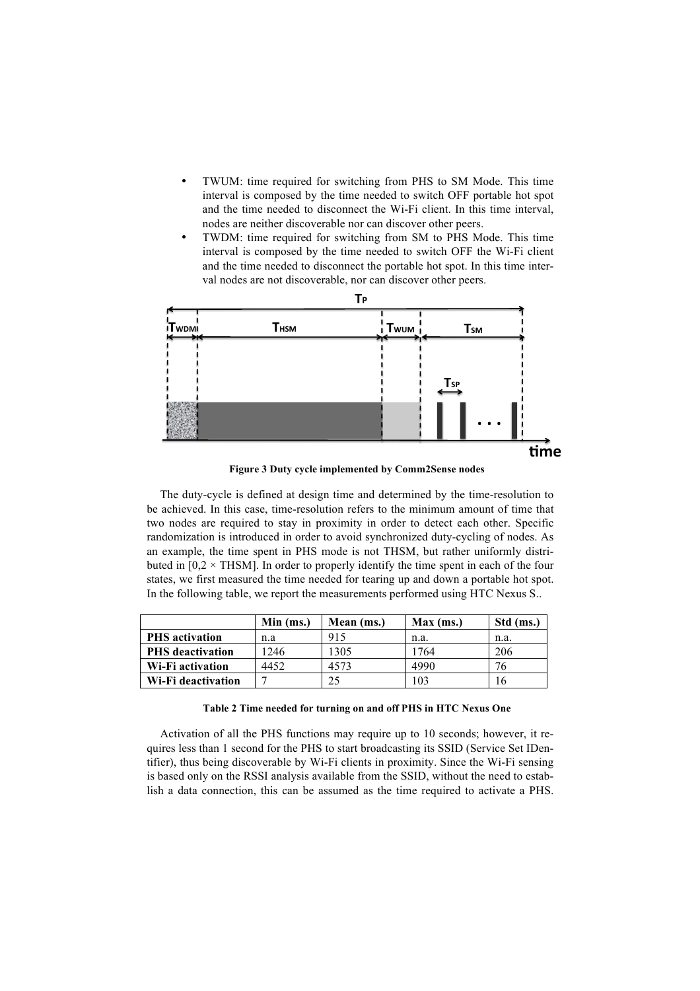- TWUM: time required for switching from PHS to SM Mode. This time interval is composed by the time needed to switch OFF portable hot spot and the time needed to disconnect the Wi-Fi client. In this time interval, nodes are neither discoverable nor can discover other peers.
- TWDM: time required for switching from SM to PHS Mode. This time interval is composed by the time needed to switch OFF the Wi-Fi client and the time needed to disconnect the portable hot spot. In this time interval nodes are not discoverable, nor can discover other peers.



**Figure 3 Duty cycle implemented by Comm2Sense nodes**

The duty-cycle is defined at design time and determined by the time-resolution to be achieved. In this case, time-resolution refers to the minimum amount of time that two nodes are required to stay in proximity in order to detect each other. Specific randomization is introduced in order to avoid synchronized duty-cycling of nodes. As an example, the time spent in PHS mode is not THSM, but rather uniformly distributed in  $[0,2 \times \text{THSM}]$ . In order to properly identify the time spent in each of the four states, we first measured the time needed for tearing up and down a portable hot spot. In the following table, we report the measurements performed using HTC Nexus S..

|                         | Min (ms.) | Mean (ms.) | Max (ms.) | Std (ms.) |
|-------------------------|-----------|------------|-----------|-----------|
| <b>PHS</b> activation   | n.a       | 915        | n.a.      | n.a.      |
| <b>PHS</b> deactivation | 1246      | 1305       | 1764      | 206       |
| Wi-Fi activation        | 4452      | 4573       | 4990      | 76        |
| Wi-Fi deactivation      |           |            | 103       | 10        |

**Table 2 Time needed for turning on and off PHS in HTC Nexus One**

Activation of all the PHS functions may require up to 10 seconds; however, it requires less than 1 second for the PHS to start broadcasting its SSID (Service Set IDentifier), thus being discoverable by Wi-Fi clients in proximity. Since the Wi-Fi sensing is based only on the RSSI analysis available from the SSID, without the need to establish a data connection, this can be assumed as the time required to activate a PHS.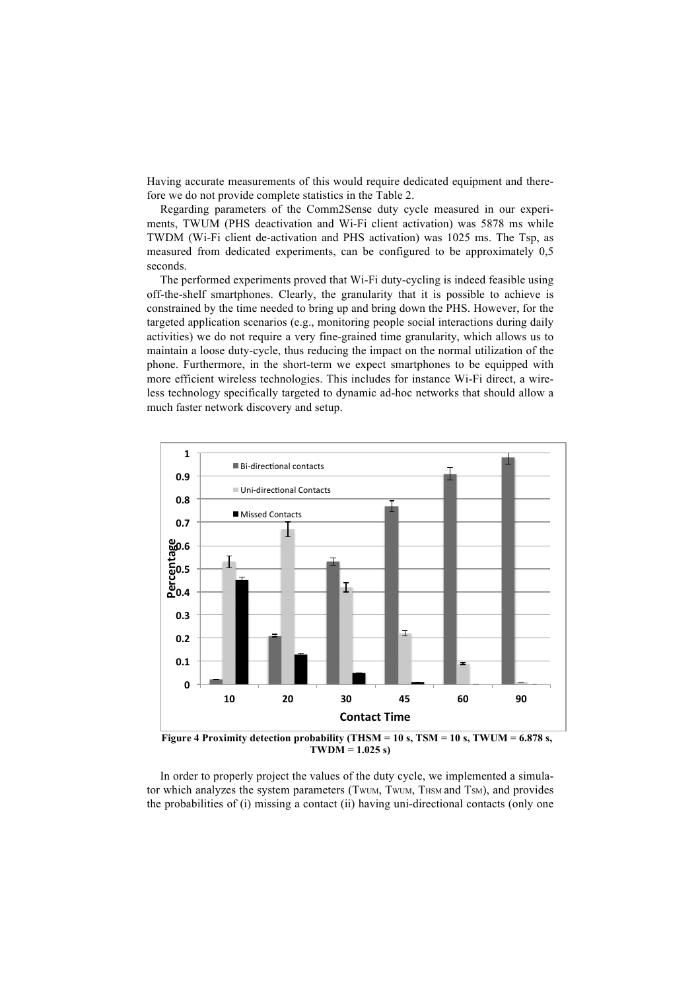Having accurate measurements of this would require dedicated equipment and therefore we do not provide complete statistics in the Table 2.

Regarding parameters of the Comm2Sense duty cycle measured in our experiments, TWUM (PHS deactivation and Wi-Fi client activation) was 5878 ms while TWDM (Wi-Fi client de-activation and PHS activation) was 1025 ms. The Tsp, as measured from dedicated experiments, can be configured to be approximately 0,5 seconds.

The performed experiments proved that Wi-Fi duty-cycling is indeed feasible using off-the-shelf smartphones. Clearly, the granularity that it is possible to achieve is constrained by the time needed to bring up and bring down the PHS. However, for the targeted application scenarios (e.g., monitoring people social interactions during daily activities) we do not require a very fine-grained time granularity, which allows us to maintain a loose duty-cycle, thus reducing the impact on the normal utilization of the phone. Furthermore, in the short-term we expect smartphones to be equipped with more efficient wireless technologies. This includes for instance Wi-Fi direct, a wireless technology specifically targeted to dynamic ad-hoc networks that should allow a much faster network discovery and setup.



**Figure 4 Proximity detection probability (THSM = 10 s, TSM = 10 s, TWUM = 6.878 s, TWDM = 1.025 s)**

In order to properly project the values of the duty cycle, we implemented a simulator which analyzes the system parameters (TWUM, TWUM, THSM and TSM), and provides the probabilities of (i) missing a contact (ii) having uni-directional contacts (only one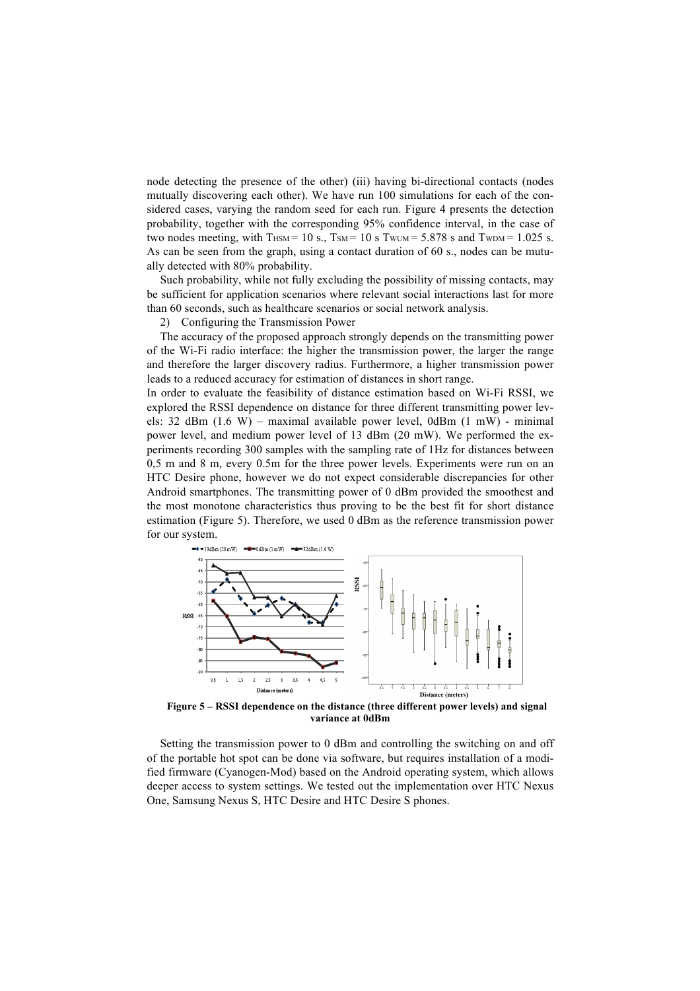node detecting the presence of the other) (iii) having bi-directional contacts (nodes mutually discovering each other). We have run 100 simulations for each of the considered cases, varying the random seed for each run. Figure 4 presents the detection probability, together with the corresponding 95% confidence interval, in the case of two nodes meeting, with THSM = 10 s., TSM = 10 s TWUM =  $5.878$  s and TWDM =  $1.025$  s. As can be seen from the graph, using a contact duration of 60 s., nodes can be mutually detected with 80% probability.

Such probability, while not fully excluding the possibility of missing contacts, may be sufficient for application scenarios where relevant social interactions last for more than 60 seconds, such as healthcare scenarios or social network analysis.

2) Configuring the Transmission Power

The accuracy of the proposed approach strongly depends on the transmitting power of the Wi-Fi radio interface: the higher the transmission power, the larger the range and therefore the larger discovery radius. Furthermore, a higher transmission power leads to a reduced accuracy for estimation of distances in short range.

In order to evaluate the feasibility of distance estimation based on Wi-Fi RSSI, we explored the RSSI dependence on distance for three different transmitting power levels: 32 dBm (1.6 W) – maximal available power level, 0dBm (1 mW) - minimal power level, and medium power level of 13 dBm (20 mW). We performed the experiments recording 300 samples with the sampling rate of 1Hz for distances between 0,5 m and 8 m, every 0.5m for the three power levels. Experiments were run on an HTC Desire phone, however we do not expect considerable discrepancies for other Android smartphones. The transmitting power of 0 dBm provided the smoothest and the most monotone characteristics thus proving to be the best fit for short distance estimation (Figure 5). Therefore, we used 0 dBm as the reference transmission power for our system.



**Figure 5 – RSSI dependence on the distance (three different power levels) and signal variance at 0dBm**

Setting the transmission power to 0 dBm and controlling the switching on and off of the portable hot spot can be done via software, but requires installation of a modified firmware (Cyanogen-Mod) based on the Android operating system, which allows deeper access to system settings. We tested out the implementation over HTC Nexus One, Samsung Nexus S, HTC Desire and HTC Desire S phones.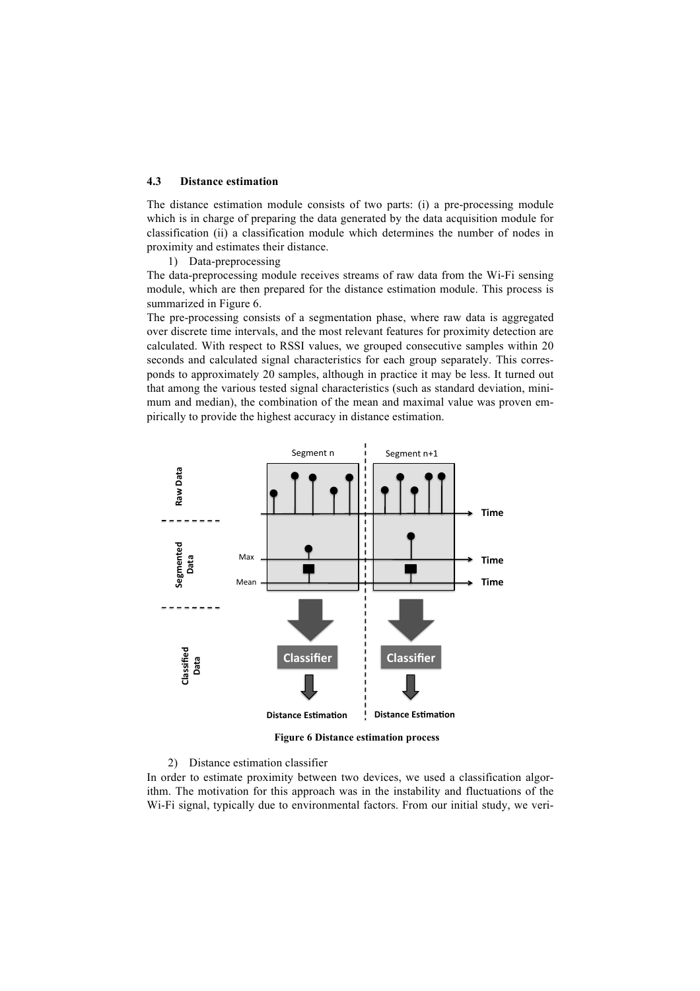### **4.3 Distance estimation**

The distance estimation module consists of two parts: (i) a pre-processing module which is in charge of preparing the data generated by the data acquisition module for classification (ii) a classification module which determines the number of nodes in proximity and estimates their distance.

1) Data-preprocessing

The data-preprocessing module receives streams of raw data from the Wi-Fi sensing module, which are then prepared for the distance estimation module. This process is summarized in Figure 6.

The pre-processing consists of a segmentation phase, where raw data is aggregated over discrete time intervals, and the most relevant features for proximity detection are calculated. With respect to RSSI values, we grouped consecutive samples within 20 seconds and calculated signal characteristics for each group separately. This corresponds to approximately 20 samples, although in practice it may be less. It turned out that among the various tested signal characteristics (such as standard deviation, minimum and median), the combination of the mean and maximal value was proven empirically to provide the highest accuracy in distance estimation.



**Figure 6 Distance estimation process**

### 2) Distance estimation classifier

In order to estimate proximity between two devices, we used a classification algorithm. The motivation for this approach was in the instability and fluctuations of the Wi-Fi signal, typically due to environmental factors. From our initial study, we veri-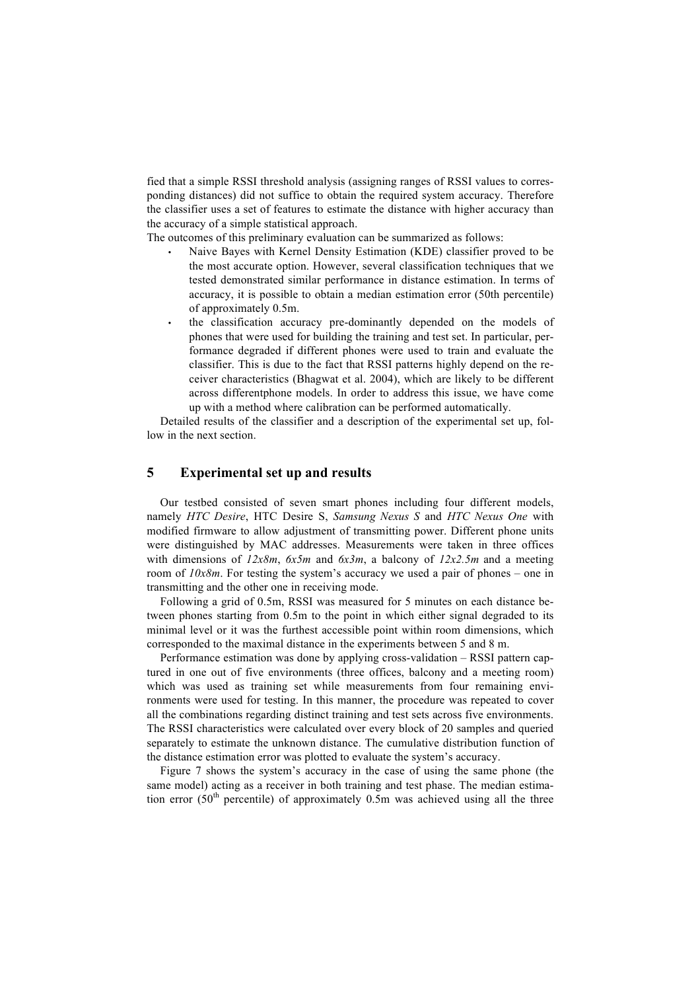fied that a simple RSSI threshold analysis (assigning ranges of RSSI values to corresponding distances) did not suffice to obtain the required system accuracy. Therefore the classifier uses a set of features to estimate the distance with higher accuracy than the accuracy of a simple statistical approach.

The outcomes of this preliminary evaluation can be summarized as follows:

- Naive Bayes with Kernel Density Estimation (KDE) classifier proved to be the most accurate option. However, several classification techniques that we tested demonstrated similar performance in distance estimation. In terms of accuracy, it is possible to obtain a median estimation error (50th percentile) of approximately 0.5m.
- the classification accuracy pre-dominantly depended on the models of phones that were used for building the training and test set. In particular, performance degraded if different phones were used to train and evaluate the classifier. This is due to the fact that RSSI patterns highly depend on the receiver characteristics (Bhagwat et al. 2004), which are likely to be different across differentphone models. In order to address this issue, we have come up with a method where calibration can be performed automatically.

Detailed results of the classifier and a description of the experimental set up, follow in the next section.

# **5 Experimental set up and results**

Our testbed consisted of seven smart phones including four different models, namely *HTC Desire*, HTC Desire S, *Samsung Nexus S* and *HTC Nexus One* with modified firmware to allow adjustment of transmitting power. Different phone units were distinguished by MAC addresses. Measurements were taken in three offices with dimensions of *12x8m*, *6x5m* and *6x3m*, a balcony of *12x2.5m* and a meeting room of  $10x8m$ . For testing the system's accuracy we used a pair of phones – one in transmitting and the other one in receiving mode.

Following a grid of 0.5m, RSSI was measured for 5 minutes on each distance between phones starting from 0.5m to the point in which either signal degraded to its minimal level or it was the furthest accessible point within room dimensions, which corresponded to the maximal distance in the experiments between 5 and 8 m.

Performance estimation was done by applying cross-validation – RSSI pattern captured in one out of five environments (three offices, balcony and a meeting room) which was used as training set while measurements from four remaining environments were used for testing. In this manner, the procedure was repeated to cover all the combinations regarding distinct training and test sets across five environments. The RSSI characteristics were calculated over every block of 20 samples and queried separately to estimate the unknown distance. The cumulative distribution function of the distance estimation error was plotted to evaluate the system's accuracy.

Figure 7 shows the system's accuracy in the case of using the same phone (the same model) acting as a receiver in both training and test phase. The median estimation error (50<sup>th</sup> percentile) of approximately 0.5m was achieved using all the three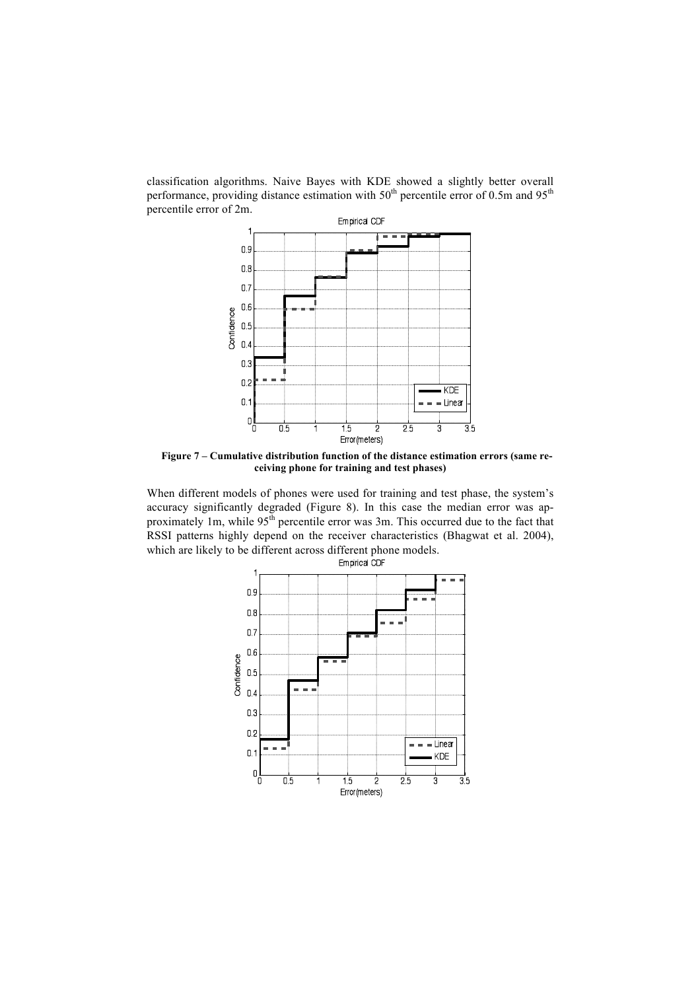classification algorithms. Naive Bayes with KDE showed a slightly better overall performance, providing distance estimation with  $50<sup>th</sup>$  percentile error of 0.5m and  $95<sup>th</sup>$ percentile error of 2m.



**Figure 7 – Cumulative distribution function of the distance estimation errors (same receiving phone for training and test phases)**

When different models of phones were used for training and test phase, the system's accuracy significantly degraded (Figure 8). In this case the median error was approximately 1m, while 95<sup>th</sup> percentile error was 3m. This occurred due to the fact that RSSI patterns highly depend on the receiver characteristics (Bhagwat et al. 2004), which are likely to be different across different phone models.

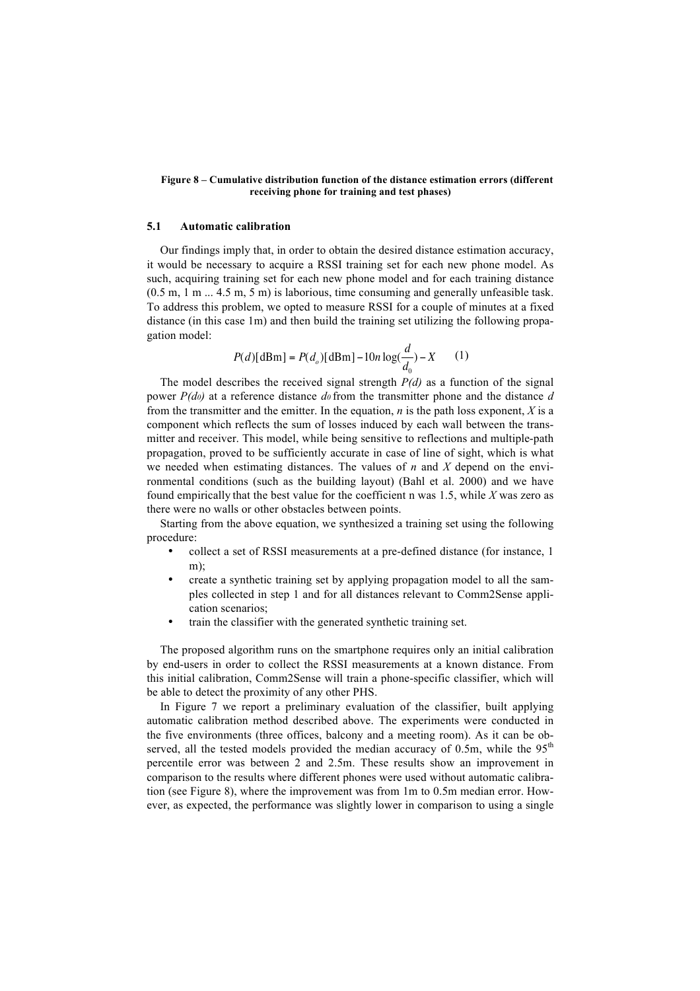#### **Figure 8 – Cumulative distribution function of the distance estimation errors (different receiving phone for training and test phases)**

#### **5.1 Automatic calibration**

Our findings imply that, in order to obtain the desired distance estimation accuracy, it would be necessary to acquire a RSSI training set for each new phone model. As such, acquiring training set for each new phone model and for each training distance  $(0.5 \text{ m}, 1 \text{ m} \dots 4.5 \text{ m}, 5 \text{ m})$  is laborious, time consuming and generally unfeasible task. To address this problem, we opted to measure RSSI for a couple of minutes at a fixed distance (in this case 1m) and then build the training set utilizing the following propagation model:

$$
P(d)[\text{dBm}] = P(d_o)[\text{dBm}] - 10n \log(\frac{d}{d_0}) - X \qquad (1)
$$

component which reflects the sum of losses induced by each wall between the trans-The model describes the received signal strength  $P(d)$  as a function of the signal power  $P(d_0)$  at a reference distance  $d_0$  from the transmitter phone and the distance  $d$ from the transmitter and the emitter. In the equation, *n* is the path loss exponent, *X* is a mitter and receiver. This model, while being sensitive to reflections and multiple-path propagation, proved to be sufficiently accurate in case of line of sight, which is what we needed when estimating distances. The values of *n* and *X* depend on the environmental conditions (such as the building layout) (Bahl et al. 2000) and we have found empirically that the best value for the coefficient n was 1.5, while *X* was zero as there were no walls or other obstacles between points.

Starting from the above equation, we synthesized a training set using the following procedure:

- collect a set of RSSI measurements at a pre-defined distance (for instance, 1 m);
- create a synthetic training set by applying propagation model to all the samples collected in step 1 and for all distances relevant to Comm2Sense application scenarios;
- train the classifier with the generated synthetic training set.

The proposed algorithm runs on the smartphone requires only an initial calibration by end-users in order to collect the RSSI measurements at a known distance. From this initial calibration, Comm2Sense will train a phone-specific classifier, which will be able to detect the proximity of any other PHS.

In Figure 7 we report a preliminary evaluation of the classifier, built applying automatic calibration method described above. The experiments were conducted in the five environments (three offices, balcony and a meeting room). As it can be observed, all the tested models provided the median accuracy of 0.5m, while the  $95<sup>th</sup>$ percentile error was between 2 and 2.5m. These results show an improvement in comparison to the results where different phones were used without automatic calibration (see Figure 8), where the improvement was from 1m to 0.5m median error. However, as expected, the performance was slightly lower in comparison to using a single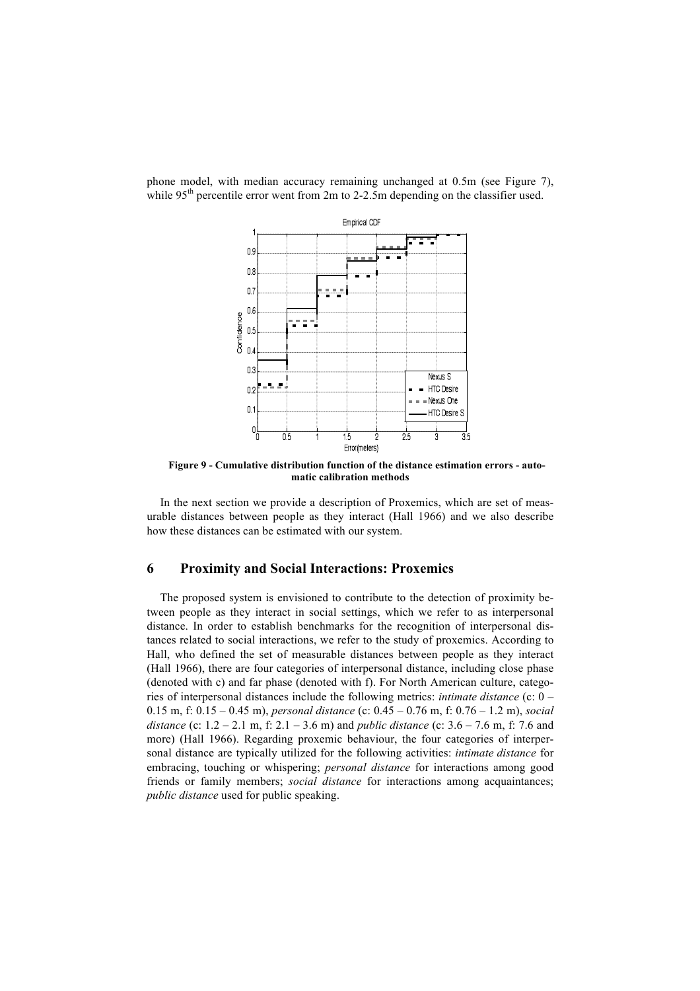phone model, with median accuracy remaining unchanged at 0.5m (see Figure 7), while  $95<sup>th</sup>$  percentile error went from 2m to 2-2.5m depending on the classifier used.



**Figure 9 - Cumulative distribution function of the distance estimation errors - automatic calibration methods**

In the next section we provide a description of Proxemics, which are set of measurable distances between people as they interact (Hall 1966) and we also describe how these distances can be estimated with our system.

### **6 Proximity and Social Interactions: Proxemics**

The proposed system is envisioned to contribute to the detection of proximity between people as they interact in social settings, which we refer to as interpersonal distance. In order to establish benchmarks for the recognition of interpersonal distances related to social interactions, we refer to the study of proxemics. According to Hall, who defined the set of measurable distances between people as they interact (Hall 1966), there are four categories of interpersonal distance, including close phase (denoted with c) and far phase (denoted with f). For North American culture, categories of interpersonal distances include the following metrics: *intimate distance* (c: 0 – 0.15 m, f: 0.15 – 0.45 m), *personal distance* (c: 0.45 – 0.76 m, f: 0.76 – 1.2 m), *social distance* (c: 1.2 – 2.1 m, f: 2.1 – 3.6 m) and *public distance* (c: 3.6 – 7.6 m, f: 7.6 and more) (Hall 1966). Regarding proxemic behaviour, the four categories of interpersonal distance are typically utilized for the following activities: *intimate distance* for embracing, touching or whispering; *personal distance* for interactions among good friends or family members; *social distance* for interactions among acquaintances; *public distance* used for public speaking.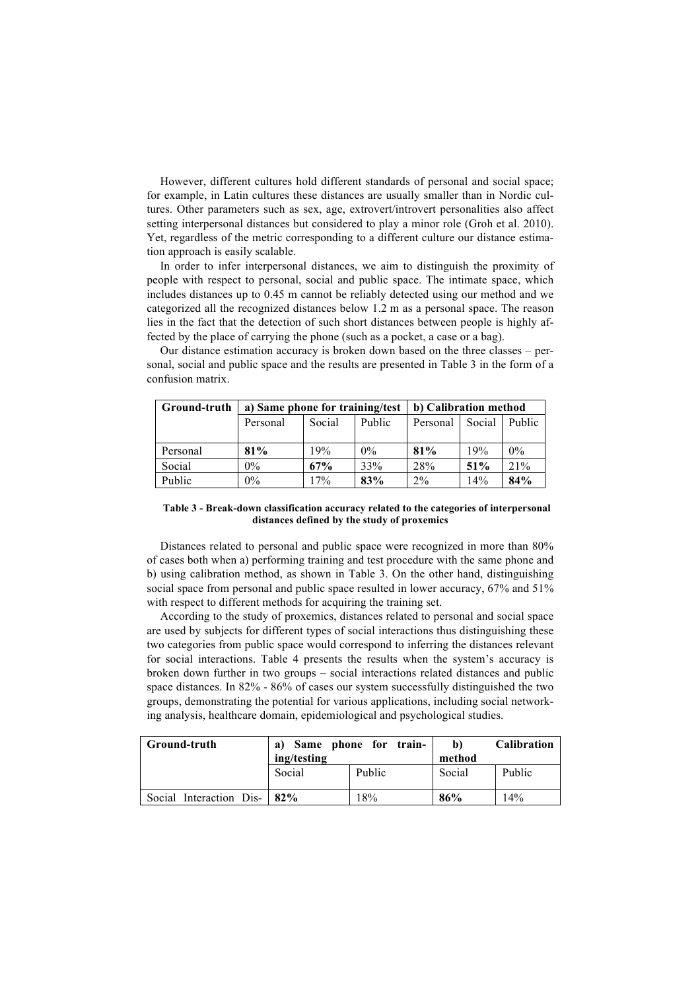However, different cultures hold different standards of personal and social space; for example, in Latin cultures these distances are usually smaller than in Nordic cultures. Other parameters such as sex, age, extrovert/introvert personalities also affect setting interpersonal distances but considered to play a minor role (Groh et al. 2010). Yet, regardless of the metric corresponding to a different culture our distance estimation approach is easily scalable.

In order to infer interpersonal distances, we aim to distinguish the proximity of people with respect to personal, social and public space. The intimate space, which includes distances up to 0.45 m cannot be reliably detected using our method and we categorized all the recognized distances below 1.2 m as a personal space. The reason lies in the fact that the detection of such short distances between people is highly affected by the place of carrying the phone (such as a pocket, a case or a bag).

sonal, social and public space and the results are presented in Table 3 in the form of a confusion matrix.

Our distance estimation accuracy is broken down based on the three classes – per-

| Ground-truth | a) Same phone for training/test |        |        | b) Calibration method |        |               |
|--------------|---------------------------------|--------|--------|-----------------------|--------|---------------|
|              | Personal                        | Social | Public | Personal              | Social | <b>Public</b> |
|              |                                 |        |        |                       |        |               |
| Personal     | 81%                             | 19%    | $0\%$  | 81%                   | 19%    | $0\%$         |
| Social       | $0\%$                           | 67%    | 33%    | 28%                   | 51%    | 21%           |
| Public       | $0\%$                           | $7\%$  | 83%    | $2\%$                 | 14%    | 84%           |

#### **Table 3 - Break-down classification accuracy related to the categories of interpersonal distances defined by the study of proxemics**

Distances related to personal and public space were recognized in more than 80% of cases both when a) performing training and test procedure with the same phone and b) using calibration method, as shown in Table 3. On the other hand, distinguishing social space from personal and public space resulted in lower accuracy, 67% and 51% with respect to different methods for acquiring the training set.

According to the study of proxemics, distances related to personal and social space are used by subjects for different types of social interactions thus distinguishing these two categories from public space would correspond to inferring the distances relevant for social interactions. Table 4 presents the results when the system's accuracy is broken down further in two groups – social interactions related distances and public space distances. In 82% - 86% of cases our system successfully distinguished the two groups, demonstrating the potential for various applications, including social networking analysis, healthcare domain, epidemiological and psychological studies.

| Ground-truth                | a)          | Same phone for train- | b)     | <b>Calibration</b> |
|-----------------------------|-------------|-----------------------|--------|--------------------|
|                             | ing/testing |                       | method |                    |
|                             | Social      | Public                | Social | Public             |
| Social Interaction Dis- 82% |             | 18%                   | 86%    | 14%                |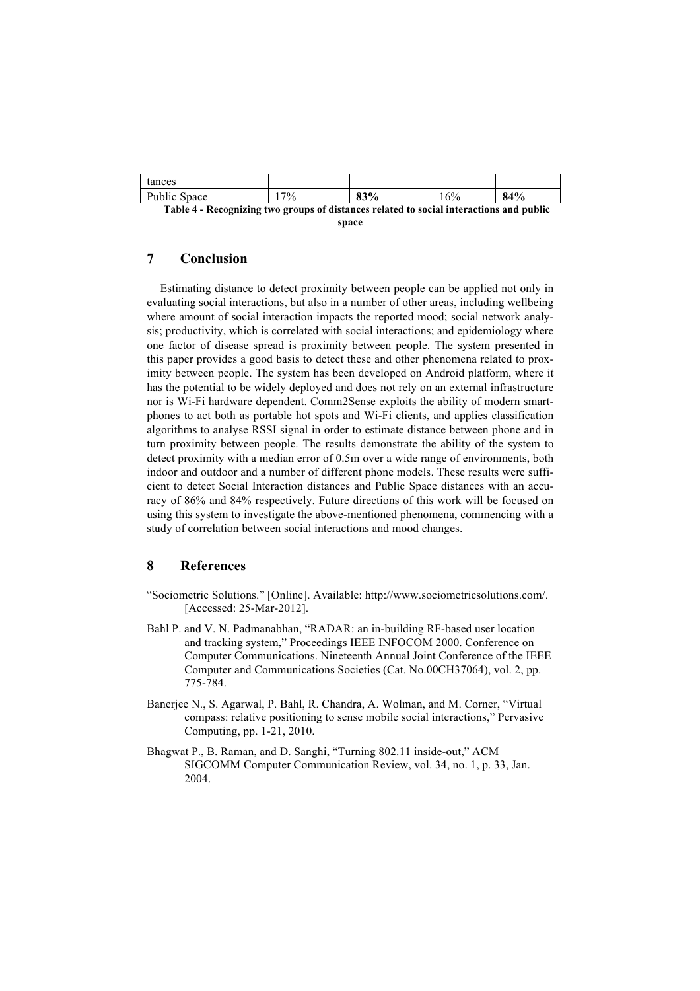| tances                                                                                  |        |     |     |     |  |
|-----------------------------------------------------------------------------------------|--------|-----|-----|-----|--|
| Public Space                                                                            | $17\%$ | 83% | 16% | 84% |  |
| Table 4 - Recognizing two groups of distances related to social interactions and public |        |     |     |     |  |

**space**

# **7 Conclusion**

Estimating distance to detect proximity between people can be applied not only in evaluating social interactions, but also in a number of other areas, including wellbeing where amount of social interaction impacts the reported mood; social network analysis; productivity, which is correlated with social interactions; and epidemiology where one factor of disease spread is proximity between people. The system presented in this paper provides a good basis to detect these and other phenomena related to proximity between people. The system has been developed on Android platform, where it has the potential to be widely deployed and does not rely on an external infrastructure nor is Wi-Fi hardware dependent. Comm2Sense exploits the ability of modern smartphones to act both as portable hot spots and Wi-Fi clients, and applies classification algorithms to analyse RSSI signal in order to estimate distance between phone and in turn proximity between people. The results demonstrate the ability of the system to detect proximity with a median error of 0.5m over a wide range of environments, both indoor and outdoor and a number of different phone models. These results were sufficient to detect Social Interaction distances and Public Space distances with an accuracy of 86% and 84% respectively. Future directions of this work will be focused on using this system to investigate the above-mentioned phenomena, commencing with a study of correlation between social interactions and mood changes.

# **8 References**

- "Sociometric Solutions." [Online]. Available: http://www.sociometricsolutions.com/. [Accessed: 25-Mar-2012].
- Bahl P. and V. N. Padmanabhan, "RADAR: an in-building RF-based user location and tracking system," Proceedings IEEE INFOCOM 2000. Conference on Computer Communications. Nineteenth Annual Joint Conference of the IEEE Computer and Communications Societies (Cat. No.00CH37064), vol. 2, pp. 775-784.
- Banerjee N., S. Agarwal, P. Bahl, R. Chandra, A. Wolman, and M. Corner, "Virtual compass: relative positioning to sense mobile social interactions," Pervasive Computing, pp. 1-21, 2010.
- Bhagwat P., B. Raman, and D. Sanghi, "Turning 802.11 inside-out," ACM SIGCOMM Computer Communication Review, vol. 34, no. 1, p. 33, Jan. 2004.